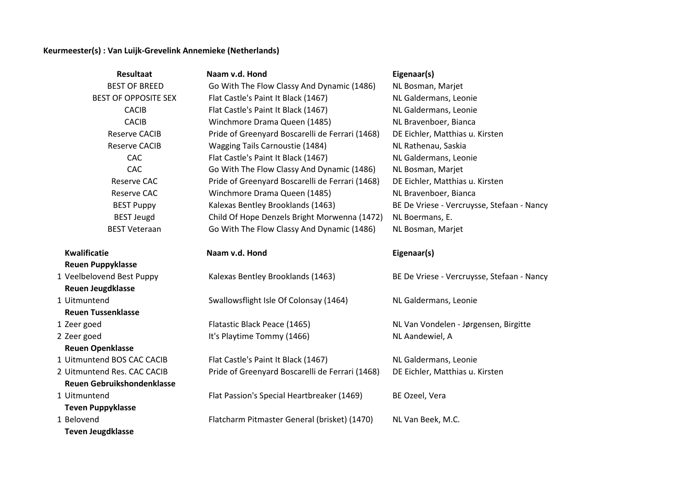## **Keurmeester(s) : Van Luijk-Grevelink Annemieke (Netherlands)**

| <b>Resultaat</b>            | Naam v.d. Hond                                  | Eigenaar(s)                                |
|-----------------------------|-------------------------------------------------|--------------------------------------------|
| <b>BEST OF BREED</b>        | Go With The Flow Classy And Dynamic (1486)      | NL Bosman, Marjet                          |
| <b>BEST OF OPPOSITE SEX</b> | Flat Castle's Paint It Black (1467)             | NL Galdermans, Leonie                      |
| <b>CACIB</b>                | Flat Castle's Paint It Black (1467)             | NL Galdermans, Leonie                      |
| <b>CACIB</b>                | Winchmore Drama Queen (1485)                    | NL Bravenboer, Bianca                      |
| <b>Reserve CACIB</b>        | Pride of Greenyard Boscarelli de Ferrari (1468) | DE Eichler, Matthias u. Kirsten            |
| <b>Reserve CACIB</b>        | Wagging Tails Carnoustie (1484)                 | NL Rathenau, Saskia                        |
| CAC                         | Flat Castle's Paint It Black (1467)             | NL Galdermans, Leonie                      |
| CAC                         | Go With The Flow Classy And Dynamic (1486)      | NL Bosman, Marjet                          |
| <b>Reserve CAC</b>          | Pride of Greenyard Boscarelli de Ferrari (1468) | DE Eichler, Matthias u. Kirsten            |
| Reserve CAC                 | Winchmore Drama Queen (1485)                    | NL Bravenboer, Bianca                      |
| <b>BEST Puppy</b>           | Kalexas Bentley Brooklands (1463)               | BE De Vriese - Vercruysse, Stefaan - Nancy |
| <b>BEST Jeugd</b>           | Child Of Hope Denzels Bright Morwenna (1472)    | NL Boermans, E.                            |
| <b>BEST Veteraan</b>        | Go With The Flow Classy And Dynamic (1486)      | NL Bosman, Marjet                          |
|                             |                                                 |                                            |
| <b>Kwalificatie</b>         | Naam v.d. Hond                                  | Eigenaar(s)                                |
| <b>Reuen Puppyklasse</b>    |                                                 |                                            |
| 1 Veelbelovend Best Puppy   | Kalexas Bentley Brooklands (1463)               | BE De Vriese - Vercruysse, Stefaan - Nancy |
| <b>Reuen Jeugdklasse</b>    |                                                 |                                            |
| 1 Uitmuntend                | Swallowsflight Isle Of Colonsay (1464)          | NL Galdermans, Leonie                      |
| <b>Reuen Tussenklasse</b>   |                                                 |                                            |
| 1 Zeer goed                 | Flatastic Black Peace (1465)                    | NL Van Vondelen - Jørgensen, Birgitte      |
| 2 Zeer goed                 | It's Playtime Tommy (1466)                      | NL Aandewiel, A                            |
| <b>Reuen Openklasse</b>     |                                                 |                                            |
| 1 Uitmuntend BOS CAC CACIB  | Flat Castle's Paint It Black (1467)             | NL Galdermans, Leonie                      |
| 2 Uitmuntend Res. CAC CACIB | Pride of Greenyard Boscarelli de Ferrari (1468) | DE Eichler, Matthias u. Kirsten            |
| Reuen Gebruikshondenklasse  |                                                 |                                            |
| 1 Uitmuntend                | Flat Passion's Special Heartbreaker (1469)      | BE Ozeel, Vera                             |
| <b>Teven Puppyklasse</b>    |                                                 |                                            |
| 1 Belovend                  | Flatcharm Pitmaster General (brisket) (1470)    | NL Van Beek, M.C.                          |